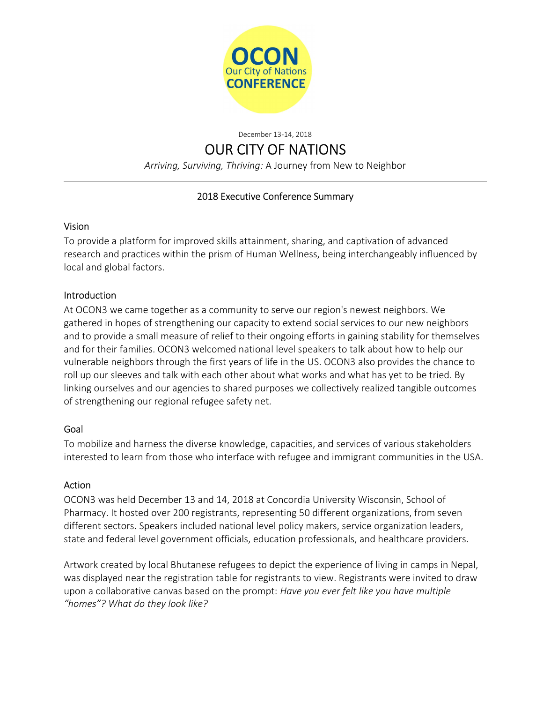

December 13-14, 2018

# OUR CITY OF NATIONS

Arriving, Surviving, Thriving: A Journey from New to Neighbor

## 2018 Executive Conference Summary

#### Vision

To provide a platform for improved skills attainment, sharing, and captivation of advanced research and practices within the prism of Human Wellness, being interchangeably influenced by local and global factors.

## Introduction

At OCON3 we came together as a community to serve our region's newest neighbors. We gathered in hopes of strengthening our capacity to extend social services to our new neighbors and to provide a small measure of relief to their ongoing efforts in gaining stability for themselves and for their families. OCON3 welcomed national level speakers to talk about how to help our vulnerable neighbors through the first years of life in the US. OCON3 also provides the chance to roll up our sleeves and talk with each other about what works and what has yet to be tried. By linking ourselves and our agencies to shared purposes we collectively realized tangible outcomes of strengthening our regional refugee safety net.

#### Goal

To mobilize and harness the diverse knowledge, capacities, and services of various stakeholders interested to learn from those who interface with refugee and immigrant communities in the USA.

## Action

OCON3 was held December 13 and 14, 2018 at Concordia University Wisconsin, School of Pharmacy. It hosted over 200 registrants, representing 50 different organizations, from seven different sectors. Speakers included national level policy makers, service organization leaders, state and federal level government officials, education professionals, and healthcare providers.

Artwork created by local Bhutanese refugees to depict the experience of living in camps in Nepal, was displayed near the registration table for registrants to view. Registrants were invited to draw upon a collaborative canvas based on the prompt: Have you ever felt like you have multiple "homes"? What do they look like?